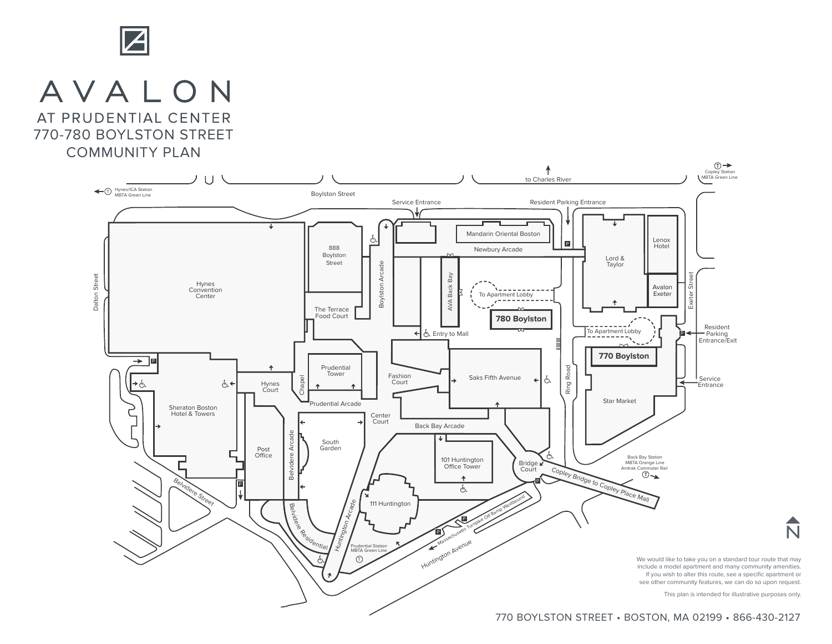

## AVALON

AT PRUDENTIAL CENTER 770-780 BOYLSTON STREET

COMMUNITY PLAN



770 BOYLSTON STREET • BOSTON, MA 02199 • 866-430-2127

 $\overline{\textsf{N}}$